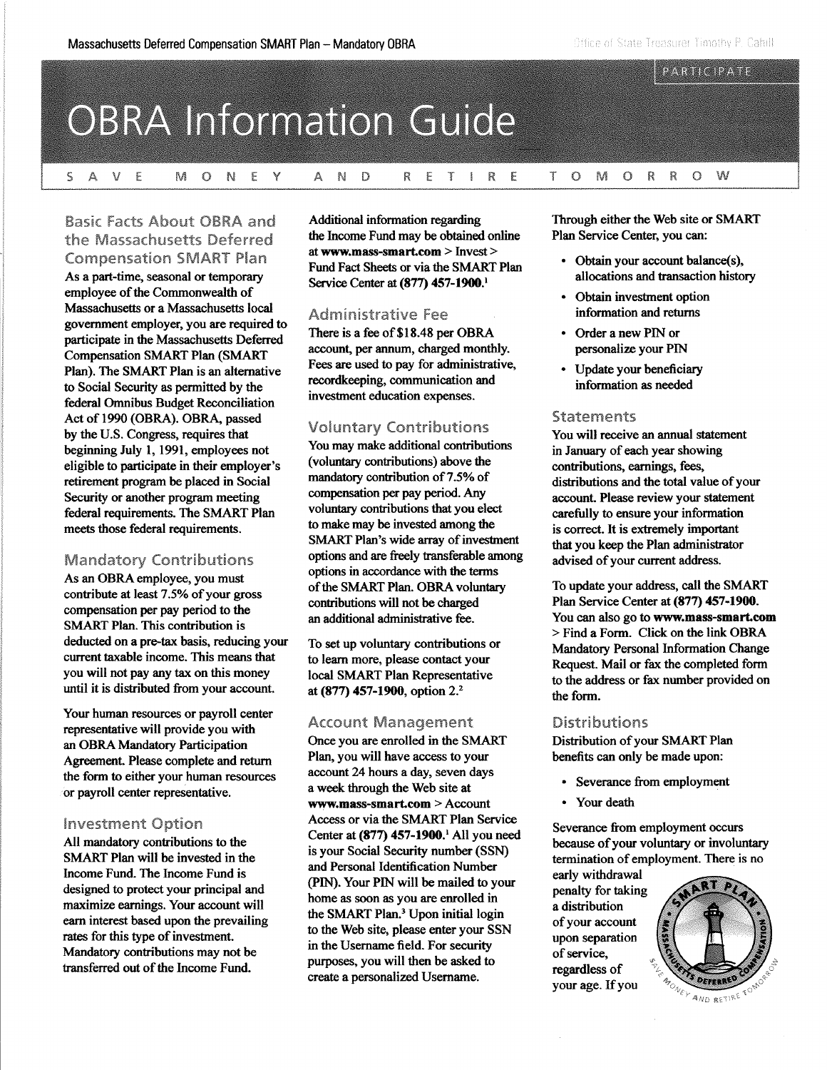#### PARTICIPATE

# **OBRA Information Guide**

N W  $S$   $A$  $V$  E M  $\bullet$ N EY A  $\mathbb{D}$ R. ETI R E T  $\Omega$ M  $\bullet$ R R  $\circ$ 

# Basic Facts About OBRA and the Massachusetts Deferred Compensation SMART Plan

As a part-time, seasonal or temporary employee of the Commonwealth of Massachusetts or a Massachusetts local government employer, you are required to participate in the Massachusetts Deferred Compensation SMART Plan (SMART Plan). The SMART Plan is an alternative to Social Security as permitted by the federal Omnibus Budget Reconciliation Act of 1990 (OBRA). OBRA, passed by the U.S. Congress, requires that beginning July 1, 1991, employees not eligible to participate in their employer's retirement program be placed in Social Security or another program meeting federal requirements. The SMART Plan meets those federal requirements.

### Mandatory Contributions

As an OBRA employee, you must contribute at least 7.5% of your gross compensation per pay period to the SMART Plan. This contribution is deducted on a pre-tax basis, reducing your current taxable income. This means that you will not pay any tax on this money until it is distributed from your account.

Your human resources or payroll center representative will provide you with an OBRA Mandatory Participation Agreement. Please complete and return the form to either your human resources or payroll center representative.

## Investment Option

All mandatory contributions to the SMART Plan will be invested in the Income Fund. The Income Fund is designed to protect your principal and maximize earnings. Your account will earn interest based upon the prevailing rates for this type of investment. Mandatory contributions may not be transferred out of the Income Fund.

Additional information regarding the Income Fund may be obtained online at **<www.mass-smart.com>** > Invest> Fund Fact Sheets or via the SMART Plan Service Center at **(877) 457-1900.<sup>1</sup>**

### Administrative Fee

There is a fee of \$18.48 per OBRA account, per annum, charged monthly. Fees are used to pay for administrative, recordkeeping, communication and investment education expenses.

# Voluntary Contributions

You may make additional contributions (voluntary contributions) above the mandatory contribution of 7.5% of compensation per pay period. Any voluntary contributions that you elect to make may be invested among the SMART Plan's wide array of investment options and are freely transferable among options in accordance with the terms of the SMART Plan. OBRA voluntary contributions will not be charged an additional administrative fee.

To set up voluntary contributions or to learn more, please contact your local SMART Plan Representative at **(877) 457-1900,** option 2.<sup>2</sup>

### Account Management

Once you are enrolled in the SMART Plan, you will have access to your account 24 hours a day, seven days a week through the Web site at **<www.mass-smart.com>** > Account Access or via the SMART Plan Service Center at **(877) 457-1900. <sup>1</sup>**All you need is your Social Security number (SSN) and Personal Identification Number (PIN). Your PIN will be mailed to your home as soon as you are enrolled in the SMART Plan.<sup>3</sup> Upon initial login to the Web site, please enter your SSN in the Usemame field. For security purposes, you will then be asked to create a personalized Usemame.

Through either the Web site or SMART Plan Service Center, you can:

- Obtain your account balance(s), allocations and transaction history
- Obtain investment option information and returns
- Order a new PIN or personalize your PIN
- Update your beneficiary information as needed

### **Statements**

You will receive an annual statement in January of each year showing contributions, earnings, fees, distributions and the total value of your account. Please review your statement carefully to ensure your information is correct. It is extremely important that you keep the Plan administrator advised of your current address.

To update your address, call the SMART Plan Service Center at **(877) 457-1900.**  You can also go to **<www.mass-smart.com>**  > Find a Form. Click on the link OBRA Mandatory Personal Information Change Request. Mail or fax the completed form to the address or fax number provided on the form.

### Distributions

Distribution of your SMART Plan benefits can only be made upon:

- Severance from employment
- Your death

Severance from employment occurs because of your voluntary or involuntary termination of employment. There is no

early withdrawal penalty for taking a distribution of your account upon separation of service, regardless of your age. If you